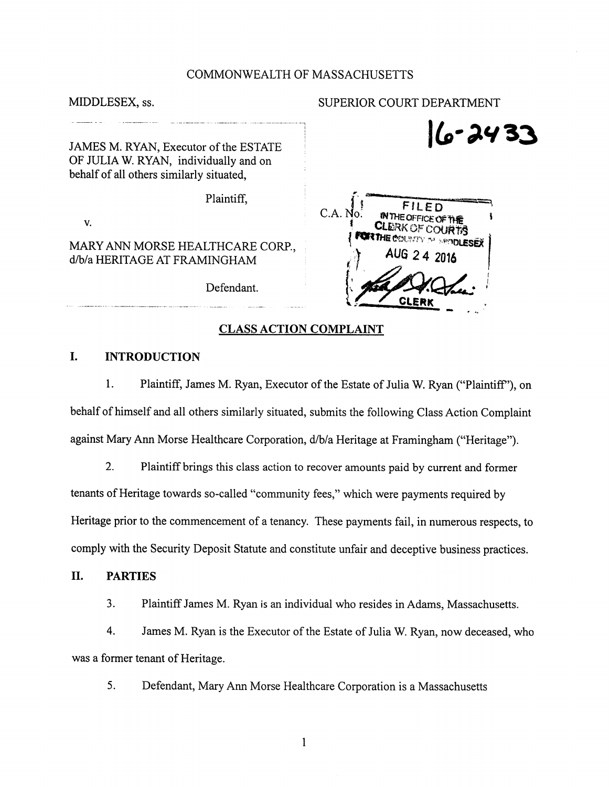#### COMMONWEALTH OF MASSACHUSETTS

MIDDLESEX, ss.  $\qquad \qquad \text{SUPERIOR COUNT DEPARTMENT}$ 

JAMES M. RYAN, Executor of the ESTATE OF JULIA W. RYAN, individually and on behalf of all others similarly situated.

V.

Defendant.

# $|6.3433$ Plaintiff,  $C.A. No.$ FILED **IN THE OFFICE OF T CLERK OF COURTS** MARY ANN MORSE HEALTHCARE CORP., VALUE CORP. VALUE 24 2016 CLERK

#### CLASS ACTION COMPLAINT

## I. INTRODUCTION

1. Plaintiff, James M. Ryan, Executor of the Estate of Julia W. Ryan ("Plaintiff"), on behalf of himself and all others similarly situated, submits the following Class Action Complaint against Mary Ann Morse Healthcare Corporation, d/b/a Heritage at Framingham ("Heritage").

2. Plaintiff brings this class action to recover amounts paid by current and former tenants of Heritage towards so-called "community fees," which were payments required by Heritage prior to the commencement of a tenancy. These payments fail, in numerous respects, to comply with the Security Deposit Statute and constitute unfair and deceptive business practices.

#### II. PARTIES

3. Plaintiff James M. Ryan is an individual who resides in Adams, Massachusetts.

4. James M. Ryan is the Executor of the Estate of Julia W. Ryan, now deceased, who was a former tenant of Heritage.

5. Defendant, Mary Ann Morse Healthcare Corporation is a Massachusetts

 $\mathbf{1}$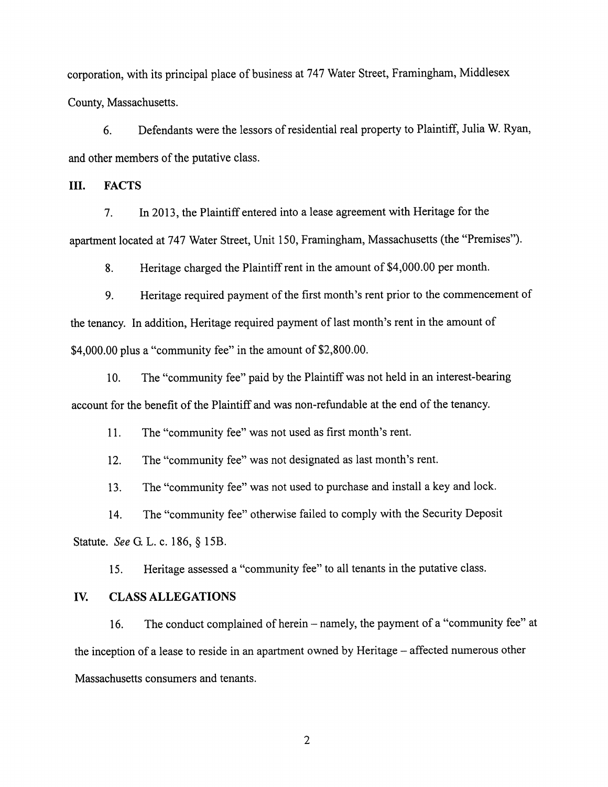corporation, with its principal place of business at 747 Water Street, Framingham, Middlesex County, Massachusetts.

6. Defendants were the lessors of residential real property to Plaintiff, Julia W. Ryan, and other members of the putative class.

III. FACTS

7. In 2013, the Plaintiff entered into a lease agreement with Heritage for the apartment located at 747 Water Street, Unit 150, Framingham, Massachusetts (the "Premises")-

8. Heritage charged the Plaintiff rent in the amount of \$4,000.00 per month.

9. Heritage required payment of the first month's rent prior to the commencement of the tenancy. In addition. Heritage required payment of last month's rent in the amount of \$4,000.00 plus a "community fee" in the amount of \$2,800.00.

10. The "community fee" paid by the Plaintiff was not held in an interest-bearing account for the benefit of the Plaintiff and was non-refundable at the end of the tenancy.

11. The "community fee" was not used as first month's rent.

12. The "community fee" was not designated as last month's rent.

13. The "community fee" was not used to purchase and install a key and lock.

14. The "community fee" otherwise failed to comply with the Security Deposit Statute. See G. L. c. 186, § 15B.

15. Heritage assessed a "community fee" to all tenants in the putative class.

### IV. CLASS ALLEGATIONS

16. The conduct complained of herein – namely, the payment of a "community fee" at the inception of a lease to reside in an apartment owned by Heritage – affected numerous other Massachusetts consumers and tenants.

 $\overline{2}$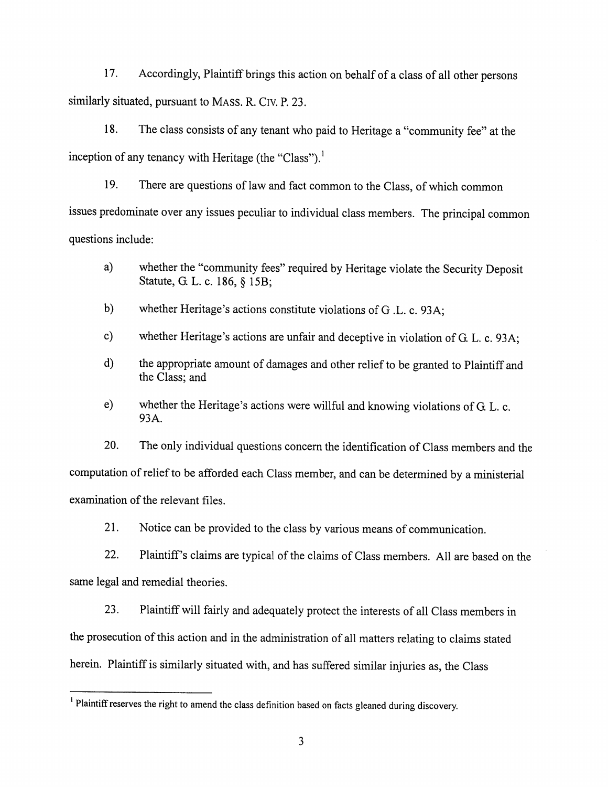17. Accordingly, Plaintiff brings this action on behalf of a class of all other persons similarly situated, pursuant to MASS. R. CIV. P. 23.

18. Theclass consists of any tenant who paid to Heritage a "community fee" at the inception of any tenancy with Heritage (the "Class").<sup>1</sup>

19. There are questions of law and fact common to the Class, of which common issues predominate over any issues peculiar to individual class members. The principal common questions include:

- a) whether the "community fees" required by Heritage violate the Security Deposit Statute, G. L. c. 186, § 15B;
- b) whether Heritage's actions constitute violations of G .L. c. 93A;
- c) whether Heritage's actions are unfair and deceptive in violation of G. L. c. 93A;
- d) the appropriate amount of damages and other reliefto be granted to Plaintiff and the Class; and
- e) whether the Heritage's actions were willful and knowing violations of G. L. c. 93A.

20. The only individual questions concern the identification of Class members and the computation of relief to be afforded each Class member, and can be determined by a ministerial examination of the relevant files.

21. Notice can be provided to the class by various means of communication.

22. Plaintiff's claims are typical of the claims of Class members. All are based on the same legal and remedial theories.

23. Plaintiff will fairly and adequately protect the interests of all Class members in the prosecution of this action and in the administration of all matters relating to claims stated herein. Plaintiff is similarly situated with, and has suffered similar injuries as, the Class

 $<sup>1</sup>$  Plaintiff reserves the right to amend the class definition based on facts gleaned during discovery.</sup>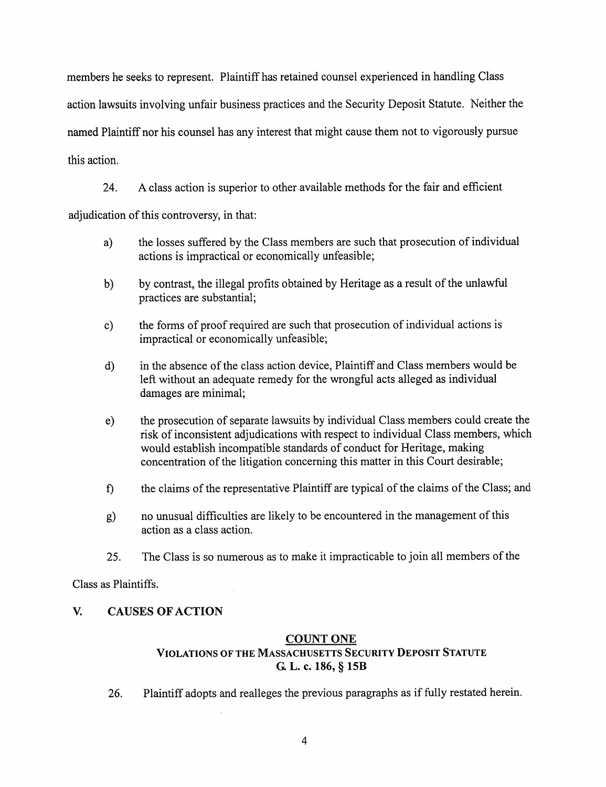members he seeks to represent. Plaintiff has retained counsel experienced in handling Class action lawsuits involving unfair business practices and the Security Deposit Statute. Neither the named Plaintiff nor his counsel has any interest that might cause them not to vigorously pursue this action.

24. A class action is superior to other available methods for the fair and efficient adjudication of this controversy, in that:

- a) the losses suffered by the Class members are such that prosecution ofindividual actions is impractical or economically unfeasible;
- b) by contrast, the illegal profits obtained by Heritage as a result of the unlawful practices are substantial;
- c) the forms of proof required are such that prosecution of individual actions is impractical or economically unfeasible;
- d) in the absence of the class action device, Plaintiff and Class members would be left without an adequate remedy for the wrongful acts alleged as individual damages are minimal;
- e) the prosecution of separate lawsuits by individual Class members could create the risk of inconsistent adjudications with respect to individual Class members, which would establish incompatible standards of conduct for Heritage, making concentration of the litigation concerning this matter in this Court desirable;
- f) the claims of the representative Plaintiff are typical of the claims of the Class; and
- g) no unusual difficulties are likely to be encountered in the management of this action as a class action.
- 25. The Class is so numerous as to make it impracticable to join all members of the

Class as Plaintiffs.

# V. CAUSES OF ACTION

## COUNT ONE

# Violations ofthe Massachusetts Security Deposit Statute G. L. c. 186, § 15B

26. Plaintiff adopts and realleges the previous paragraphs as if fully restated herein.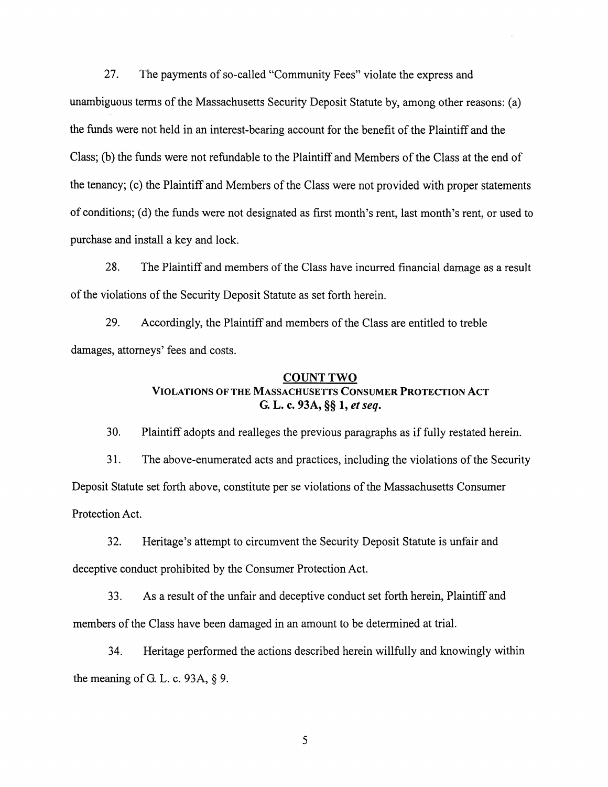27. The payments of so-called "Community Fees" violate the express and unambiguous terms of the Massachusetts Security Deposit Statute by, among other reasons: (a) the funds were not held in an interest-bearing account for the benefit of the Plaintiff and the Class; (b) the funds were not refundable to the Plaintiff and Members ofthe Class at the end of the tenancy; (c) the Plaintiff and Members of the Class were not provided with properstatements of conditions; (d) the funds were not designated as first month's rent, last month's rent, or used to purchase and install a key and lock.

28. The Plaintiff and members of the Class have incurred financial damage as a result of the violations of the Security Deposit Statute as set forth herein.

29. Accordingly, the Plaintiff and members of the Class are entitled to treble damages, attorneys' fees and costs.

#### COUNT TWO

# Violations ofthe Massachusetts Consumer Protection Act G. L. c. 93A, §§ 1, et seq.

30. Plaintiff adopts and realleges the previous paragraphs as if fully restated herein.

31. The above-enumerated acts and practices, including the violations of the Security Deposit Statute set forth above, constitute per se violations of the Massachusetts Consumer Protection Act.

32. Heritage's attempt to circumvent the Security Deposit Statute is unfair and deceptive conduct prohibited by the Consumer Protection Act.

33. As a result of the unfair and deceptive conduct set forth herein, Plaintiff and members of the Class have been damaged in an amount to be determined at trial.

34. Heritage performed the actions described herein willfully and knowingly within the meaning of G. L. c. 93A, § 9.

5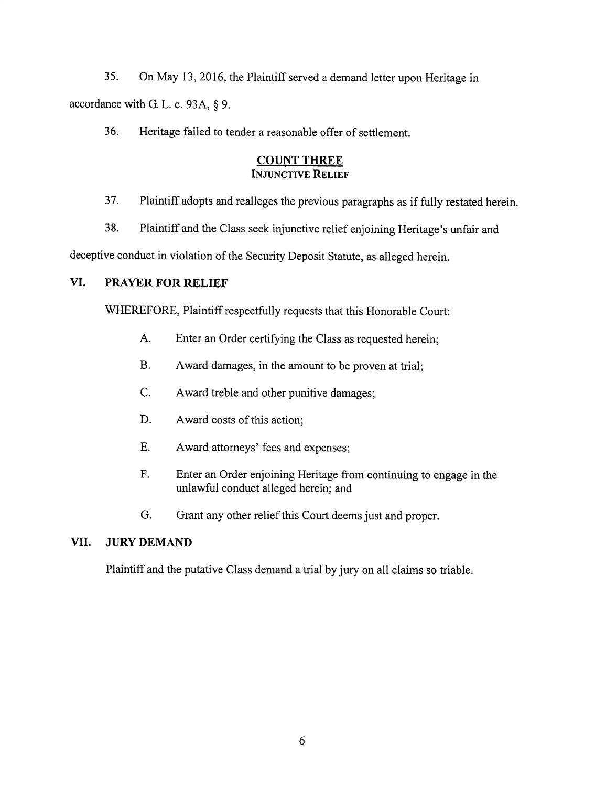35. On May 13, 2016, the Plaintiff served a demand letter upon Heritage in accordancewith G. L. c. 93A, § 9.

36. Heritage failed to tender a reasonable offer of settlement.

## COUNT THREE INJUNCTIVE RELIEF

- 37. Plaintiffadopts and realleges the previous paragraphs as if fully restated herein.
- 38. Plaintiff and the Class seek injunctive relief enjoining Heritage's unfair and

deceptive conduct in violation of the Security Deposit Statute, as alleged herein.

# VI. PRAYER FOR RELIEF

WHEREFORE, Plaintiff respectfully requests that this Honorable Court:

- A. Enter an Order certifying the Class as requested herein;
- B. Award damages, in the amount to be proven at trial;
- C. Award treble and other punitive damages;
- D. Award costs of this action;
- E. Award attorneys' fees and expenses;
- F. Enter an Order enjoining Heritage from continuing to engage in the unlawful conduct alleged herein; and
- G. Grant any other relief this Court deems just and proper.

## VIL JURY DEMAND

Plaintiff and the putative Class demand a trial by jury on all claims so triable.